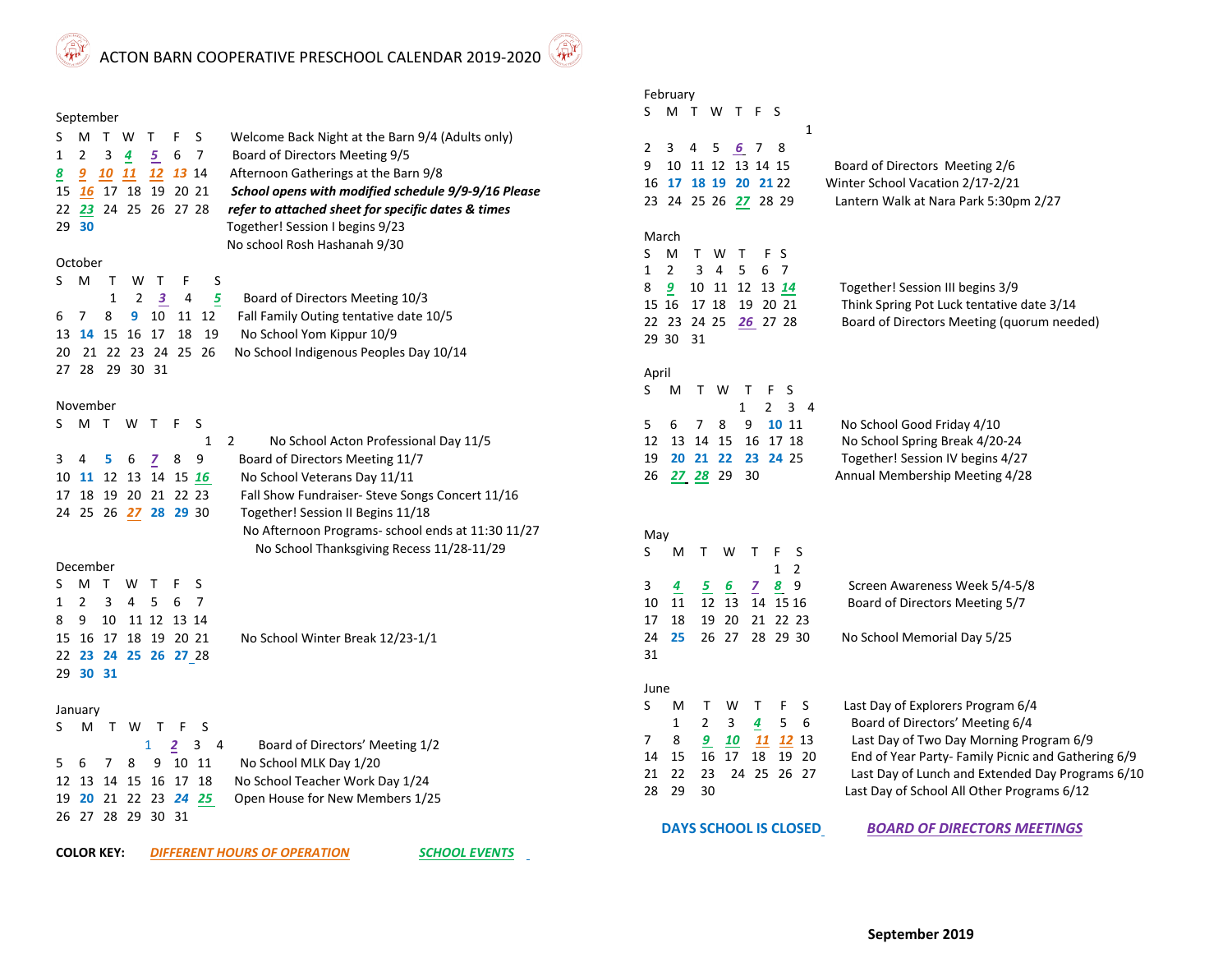ACTON BARN COOPERATIVE PRESCHOOL CALENDAR 2019-2020

## September

**Artist** 

| S  | м       | T W          |                |     | F  | - S            | Welcome Back Night at the Barn 9/4 (Adults only)    |
|----|---------|--------------|----------------|-----|----|----------------|-----------------------------------------------------|
| 1  | 2       | 3            | 4              | 5   | 6  | 7              | Board of Directors Meeting 9/5                      |
| 8  | 9       |              |                |     | 13 | -14            | Afternoon Gatherings at the Barn 9/8                |
| 15 | 16      | 17           | 18             | 19  |    | 20 21          | School opens with modified schedule 9/9-9/16 Please |
| 22 | 23      |              | 24 25 26 27 28 |     |    |                | refer to attached sheet for specific dates & times  |
|    | 29 30   |              |                |     |    |                | Together! Session I begins 9/23                     |
|    |         |              |                |     |    |                | No school Rosh Hashanah 9/30                        |
|    | October |              |                |     |    |                |                                                     |
| S  | м       | $\mathbf{I}$ | w              |     | F  | S              |                                                     |
|    |         | 1            | 2              | 3   | 4  | 5              | Board of Directors Meeting 10/3                     |
| 6  | 7       | 8            | 9              | 10  | 11 | 12             | Fall Family Outing tentative date 10/5              |
| 13 | 14      | 15           | 16             | -17 | 18 | 19             | No School Yom Kippur 10/9                           |
| 20 | 21.     |              |                |     |    | 22 23 24 25 26 | No School Indigenous Peoples Day 10/14              |
| 27 | 28      | 29           | 30             | 31  |    |                |                                                     |
|    |         |              |                |     |    |                |                                                     |

## November

|  | S M T W T F S        |  |                      |                                                   |
|--|----------------------|--|----------------------|---------------------------------------------------|
|  |                      |  |                      | No School Acton Professional Day 11/5             |
|  | 3 4 5 6 7 8 9        |  |                      | Board of Directors Meeting 11/7                   |
|  |                      |  | 10 11 12 13 14 15 16 | No School Veterans Day 11/11                      |
|  | 17 18 19 20 21 22 23 |  |                      | Fall Show Fundraiser-Steve Songs Concert 11/16    |
|  | 24 25 26 27 28 29 30 |  |                      | Together! Session II Begins 11/18                 |
|  |                      |  |                      | No Afternoon Programs- school ends at 11:30 11/27 |
|  |                      |  |                      | No School Thanksgiving Recess 11/28-11/29         |

## December

|          | S M T W T F S        |  |                                  |
|----------|----------------------|--|----------------------------------|
|          | 1 2 3 4 5 6 7        |  |                                  |
|          | 8 9 10 11 12 13 14   |  |                                  |
|          | 15 16 17 18 19 20 21 |  | No School Winter Break 12/23-1/1 |
|          | 22 23 24 25 26 27 28 |  |                                  |
| 29 30 31 |                      |  |                                  |

## January

| SMTWTFS              |  |           |  |                                 |
|----------------------|--|-----------|--|---------------------------------|
|                      |  | $1$ 2 3 4 |  | Board of Directors' Meeting 1/2 |
| 5 6 7 8 9 10 11      |  |           |  | No School MLK Day 1/20          |
| 12 13 14 15 16 17 18 |  |           |  | No School Teacher Work Day 1/24 |
| 19 20 21 22 23 24 25 |  |           |  | Open House for New Members 1/25 |
| 26 27 28 29 30 31    |  |           |  |                                 |

**COLOR KEY:**

*DIFFERENT HOURS OF OPERATION*

*SCHOOL EVENTS*

| -ebruarv |
|----------|
|----------|

| <b>February</b>                                                      |                                                    |
|----------------------------------------------------------------------|----------------------------------------------------|
| S<br>S<br>м<br>т<br>W<br>т<br>F                                      |                                                    |
| 1                                                                    |                                                    |
| 3<br>2<br>4<br>5<br>6 7<br>8                                         |                                                    |
| 10 11 12<br>9<br>13 14 15                                            | Board of Directors Meeting 2/6                     |
| 17 18 19 20 21 22<br>16                                              | Winter School Vacation 2/17-2/21                   |
| 23<br>24<br>25 26 27 28 29                                           | Lantern Walk at Nara Park 5:30pm 2/27              |
|                                                                      |                                                    |
| March                                                                |                                                    |
| FS<br>S<br>м<br>Τ<br>W<br>т                                          |                                                    |
| 2<br>3<br>4<br>5<br>6<br>7<br>1                                      |                                                    |
| 8<br>$\overline{9}$<br>10 11<br>12<br>13 14                          | Together! Session III begins 3/9                   |
| 19 20 21<br>15 16<br>17 18                                           | Think Spring Pot Luck tentative date 3/14          |
| 22 23 24 25<br>26 27 28                                              | Board of Directors Meeting (quorum needed)         |
| 29 30<br>31                                                          |                                                    |
|                                                                      |                                                    |
| April                                                                |                                                    |
| S<br>Т<br>W<br>S<br>M<br>т<br>F                                      |                                                    |
| 1<br>$\mathbf{2}$<br>3<br>4                                          |                                                    |
| 5<br>6<br>7<br>8<br>9<br>10 11                                       | No School Good Friday 4/10                         |
| 12<br>17 18<br>13<br>14 15<br>16                                     | No School Spring Break 4/20-24                     |
| 20 21 22<br>19<br>23<br>24 25                                        | Together! Session IV begins 4/27                   |
| 29<br>30<br>26<br>27 28                                              | Annual Membership Meeting 4/28                     |
|                                                                      |                                                    |
|                                                                      |                                                    |
| May                                                                  |                                                    |
| S<br>S<br>Μ<br>т<br>W<br>т<br>F                                      |                                                    |
| 2<br>1                                                               |                                                    |
| 3<br>8<br>9<br>4<br><u>5</u><br>$\underline{6}$<br>Ζ                 | Screen Awareness Week 5/4-5/8                      |
| 12<br>10<br>11<br>13<br>14<br>15 16                                  | Board of Directors Meeting 5/7                     |
| 22 23<br>17<br>18<br>19<br>20<br>21                                  |                                                    |
| 24<br>25<br>26<br>27<br>28 29 30                                     | No School Memorial Day 5/25                        |
| 31                                                                   |                                                    |
|                                                                      |                                                    |
| June                                                                 |                                                    |
| S<br>M<br>W<br>Т<br>F<br>S<br>т                                      | Last Day of Explorers Program 6/4                  |
| 2<br>3<br>4<br>5<br>6<br>1                                           | Board of Directors' Meeting 6/4                    |
| 7<br>8<br>$\overline{a}$<br><b>12</b> 13<br><u> 10</u><br><u> 11</u> | Last Day of Two Day Morning Program 6/9            |
| 14<br>18<br>20<br>15<br>16<br>17<br>19                               | End of Year Party- Family Picnic and Gathering 6/9 |
| 21<br>22<br>24<br>25<br>26 27<br>23                                  | Last Day of Lunch and Extended Day Programs 6/10   |
| 28<br>29<br>30                                                       | Last Day of School All Other Programs 6/12         |
|                                                                      |                                                    |
| <b>DAYS SCHOOL IS CLOSED</b>                                         | <b>BOARD OF DIRECTORS MEETINGS</b>                 |

**September 2019**